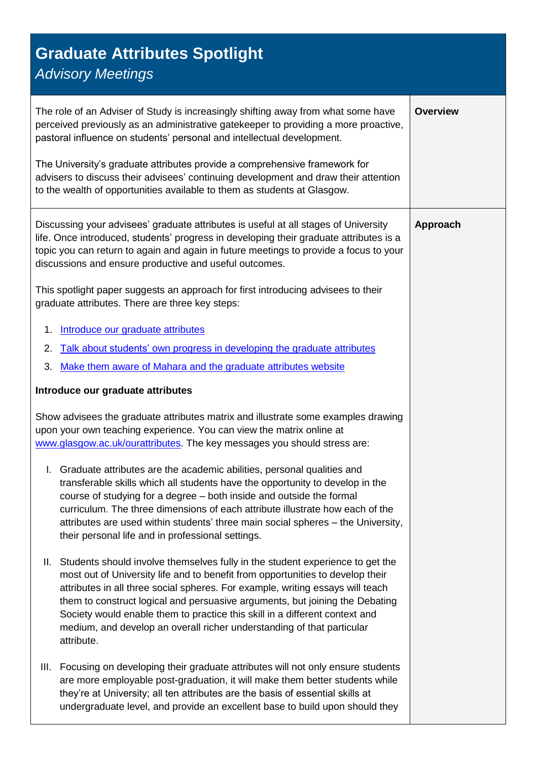## **Graduate Attributes Spotlight**

## *Advisory Meetings*

<span id="page-0-0"></span>

| The role of an Adviser of Study is increasingly shifting away from what some have<br>perceived previously as an administrative gatekeeper to providing a more proactive,<br>pastoral influence on students' personal and intellectual development.<br>The University's graduate attributes provide a comprehensive framework for<br>advisers to discuss their advisees' continuing development and draw their attention<br>to the wealth of opportunities available to them as students at Glasgow.            | <b>Overview</b> |
|----------------------------------------------------------------------------------------------------------------------------------------------------------------------------------------------------------------------------------------------------------------------------------------------------------------------------------------------------------------------------------------------------------------------------------------------------------------------------------------------------------------|-----------------|
| Discussing your advisees' graduate attributes is useful at all stages of University<br>life. Once introduced, students' progress in developing their graduate attributes is a<br>topic you can return to again and again in future meetings to provide a focus to your<br>discussions and ensure productive and useful outcomes.<br>This spotlight paper suggests an approach for first introducing advisees to their<br>graduate attributes. There are three key steps:                                       | Approach        |
| Introduce our graduate attributes<br>1.<br>Talk about students' own progress in developing the graduate attributes<br>2.<br>Make them aware of Mahara and the graduate attributes website<br>3.                                                                                                                                                                                                                                                                                                                |                 |
| Introduce our graduate attributes                                                                                                                                                                                                                                                                                                                                                                                                                                                                              |                 |
| Show advisees the graduate attributes matrix and illustrate some examples drawing<br>upon your own teaching experience. You can view the matrix online at<br>www.glasgow.ac.uk/ourattributes. The key messages you should stress are:                                                                                                                                                                                                                                                                          |                 |
| Graduate attributes are the academic abilities, personal qualities and<br>Ι.<br>transferable skills which all students have the opportunity to develop in the<br>course of studying for a degree - both inside and outside the formal<br>curriculum. The three dimensions of each attribute illustrate how each of the<br>attributes are used within students' three main social spheres - the University,<br>their personal life and in professional settings.                                                |                 |
| Students should involve themselves fully in the student experience to get the<br>Ш.<br>most out of University life and to benefit from opportunities to develop their<br>attributes in all three social spheres. For example, writing essays will teach<br>them to construct logical and persuasive arguments, but joining the Debating<br>Society would enable them to practice this skill in a different context and<br>medium, and develop an overall richer understanding of that particular<br>attribute. |                 |
| Focusing on developing their graduate attributes will not only ensure students<br>III.<br>are more employable post-graduation, it will make them better students while<br>they're at University; all ten attributes are the basis of essential skills at<br>undergraduate level, and provide an excellent base to build upon should they                                                                                                                                                                       |                 |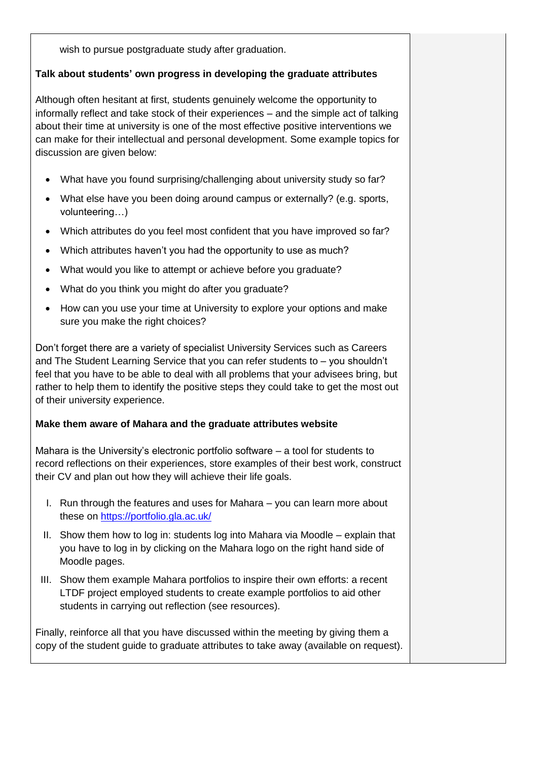wish to pursue postgraduate study after graduation.

## <span id="page-1-0"></span>**Talk about students' own progress in developing the graduate attributes**

Although often hesitant at first, students genuinely welcome the opportunity to informally reflect and take stock of their experiences – and the simple act of talking about their time at university is one of the most effective positive interventions we can make for their intellectual and personal development. Some example topics for discussion are given below:

- What have you found surprising/challenging about university study so far?
- What else have you been doing around campus or externally? (e.g. sports, volunteering…)
- Which attributes do you feel most confident that you have improved so far?
- Which attributes haven't you had the opportunity to use as much?
- What would you like to attempt or achieve before you graduate?
- What do you think you might do after you graduate?
- How can you use your time at University to explore your options and make sure you make the right choices?

Don't forget there are a variety of specialist University Services such as Careers and The Student Learning Service that you can refer students to – you shouldn't feel that you have to be able to deal with all problems that your advisees bring, but rather to help them to identify the positive steps they could take to get the most out of their university experience.

## <span id="page-1-1"></span>**Make them aware of Mahara and the graduate attributes website**

Mahara is the University's electronic portfolio software – a tool for students to record reflections on their experiences, store examples of their best work, construct their CV and plan out how they will achieve their life goals.

- I. Run through the features and uses for Mahara you can learn more about these on<https://portfolio.gla.ac.uk/>
- II. Show them how to log in: students log into Mahara via Moodle explain that you have to log in by clicking on the Mahara logo on the right hand side of Moodle pages.
- III. Show them example Mahara portfolios to inspire their own efforts: a recent LTDF project employed students to create example portfolios to aid other students in carrying out reflection (see resources).

Finally, reinforce all that you have discussed within the meeting by giving them a copy of the student guide to graduate attributes to take away (available on request).